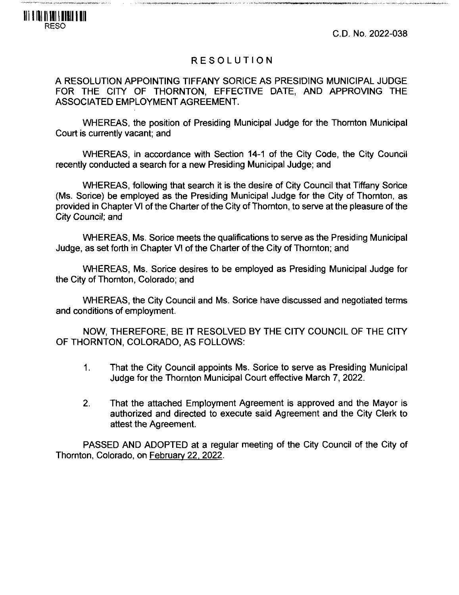C.D. No. 2022-038

# RESOLUTION

A RESOLUTION APPOINTING TIFFANY SORICE AS PRESIDING MUNICIPAL JUDGE FOR THE CITY OF THORNTON, EFFECTIVE DATE, AND APPROVING THE ASSOCIATED EMPLOYMENT AGREEMENT.

WHEREAS, the position of Presiding Municipal Judge for the Thornton Municipal Court is currently vacant; and

WHEREAS, in accordance with Section 14-1 of the City Code, the City Council recently conducted a search for a new Presiding Municipal Judge; and

WHEREAS, following that search it is the desire of City Council that Tiffany Sorice (Ms. Sorice) be employed as the Presiding Municipal Judge for the City of Thornton, as provided in Chapter VI of the Charter of the City of Thornton, to serve at the pleasure of the City Council; and

WHEREAS, Ms. Sorice meets the qualifications to serve as the Presiding Municipal Judge, as set forth in Chapter VI of the Charter of the City of Thornton; and

WHEREAS, Ms. Sorice desires to be employed as Presiding Municipal Judge for the City of Thornton, Colorado; and

WHEREAS, the City Council and Ms. Sorice have discussed and negotiated terms and conditions of employment.

NOW, THEREFORE, BE IT RESOLVED BY THE CITY COUNCIL OF THE CITY OF THORNTON, COLORADO. AS FOLLOWS:

- 1. That the City Council appoints Ms. Sorice to serve as Presiding Municipal Judge for the Thornton Municipal Court effective March 7, 2022.
- 2. That the attached Employment Agreement is approved and the Mayor is authorized and directed to execute said Agreement and the City Clerk to attest the Agreement.

PASSED AND ADOPTED at a regular meeting of the City Council of the City of Thornton, Colorado, on February 22. 2022.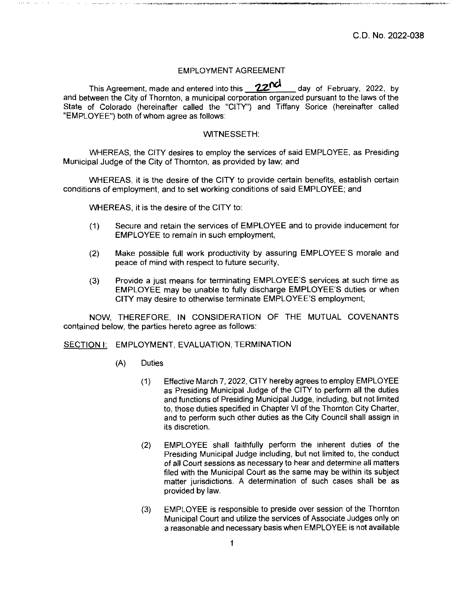# *EMPLOYMENT AGREEMENT*

*This Agreement, made and entered into this \*Z2f^* day of February, 2022, by and between the City of Thornton, a municipal corporation organized pursuant to the laws ofthe State of Colorado {hereinafter called the "CITY") and Tiffany Sorice (hereinafter called "EMPLOYEE") both of whom agree as follows:

### WITNESSETH:

WHEREAS, the CITY desires to employ the services of said EMPLOYEE, as Presiding Municipal Judge of the City of Thornton, as provided by law; and

WHEREAS, it is the desire of the CITY to provide certain benefits, establish certain conditions of employment, and to set working conditions of said EMPLOYEE; and

WHEREAS, it is the desire of the CITY to:

- (1) Secure and retain the services of EMPLOYEE and to provide inducement for EMPLOYEE to remain in such employment,
- (2) Make possible full work productivity by assuring EMPLOYEE'S morale and peace of mind with respect to future security,
- (3) Provide a just means for terminating EMPLOYEE'S services at such time as EMPLOYEE may be unable to fully discharge EMPLOYEE'S duties or when CITY may desire to otherwise terminate EMPLOYEE'S employment;

NOW, THEREFORE, IN CONSIDERATION OF THE MUTUAL COVENANTS contained below, the parties hereto agree as follows:

SECTION I: EMPLOYMENT, EVALUATION, TERMINATION

- (A) Duties
	- (1) Effective March 7, 2022, CITY hereby agrees to employ EMPLOYEE as Presiding Municipal Judge of the CITY to perform all the duties and functions of Presiding Municipal Judge, including, but not limited to, those duties specified in Chapter VI of the Thornton City Charter, and to perform such other duties as the City Council shall assign in its discretion.
	- (2) EMPLOYEE shall faithfully perform the inherent duties of the Presiding Municipal Judge including, but not limited to, the conduct of all Court sessions as necessary to hear and determine all matters filed with the Municipal Court as the same may be within its subject matter jurisdictions. A determination of such cases shall be as provided by law.
	- (3) EMPLOYEE is responsible to preside over session of the Thornton Municipal Court and utilize the services of Associate Judges only on a reasonable and necessary basis when EMPLOYEE is not available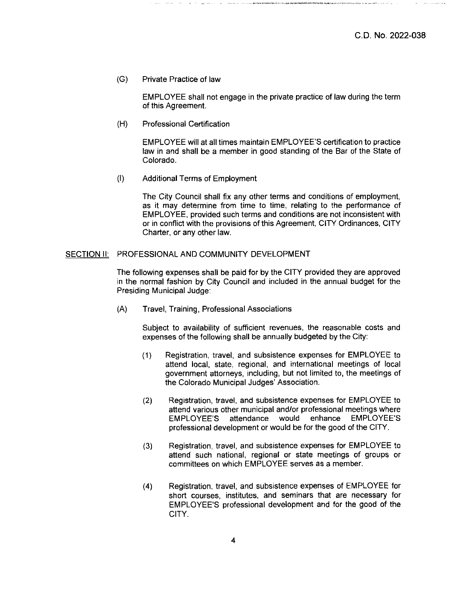(G) Private Practice of law

EMPLOYEE shall not engage in the private practice of law during the term of this Agreement.

(H) Professional Certification

EMPLOYEE will at all times maintain EMPLOYEE'S certification to practice law in and shall be a member in good standing of the Bar of the State of Colorado.

(I) Additional Terms of Employment

The City Council shall fix any other terms and conditions of employment, as it may determine from time to time, relating to the performance of EMPLOYEE, provided such terms and conditions are not inconsistent with or in conflict with the provisions ofthis Agreement, CITY Ordinances, CITY Charter, or any other law.

## SECTION II: PROFESSIONAL AND COMMUNITY DEVELOPMENT

The following expenses shall be paid for by the CITY provided they are approved in the normal fashion by City Council and included In the annual budget for the Presiding Municipal Judge:

(A) Travel, Training, Professional Associations

Subject to availability of sufficient revenues, the reasonable costs and expenses of the following shall be annually budgeted by the City:

- (1) Registration, travel, and subsistence expenses for EMPLOYEE to attend local, state, regional, and international meetings of local government attorneys, including, but not limited to, the meetings of the Colorado Municipal Judges' Association.
- (2) Registration, travel, and subsistence expenses for EMPLOYEE to attend various other municipal and/or professional meetings where EMPLOYEE'S attendance would enhance EMPLOYEE'S professional development or would be for the good of the CITY.
- (3) Registration, travel, and subsistence expenses for EMPLOYEE to attend such national, regional or state meetings of groups or committees on which EMPLOYEE serves as a member.
- (4) Registration, travel, and subsistence expenses of EMPLOYEE for short courses, institutes, and seminars that are necessary for EMPLOYEE'S professional development and for the good of the CITY.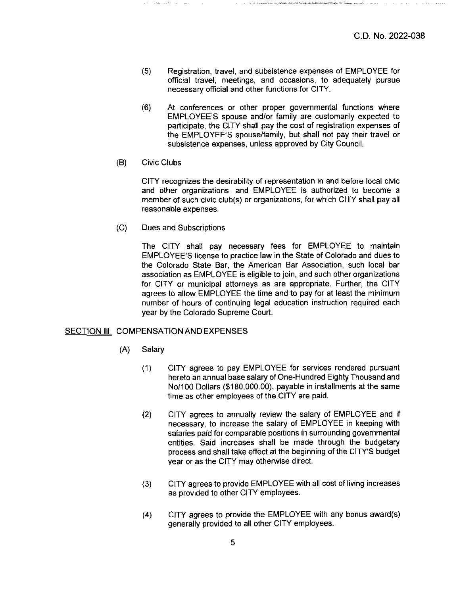- (5) Registration, travel, and subsistence expenses of EMPLOYEE for official travel, meetings, and occasions, to adequately pursue necessary official and other functions for CITY.
- (6) At conferences or other proper governmental functions where EMPLOYEE'S spouse and/or family are customarily expected to participate, the CITY shall pay the cost of registration expenses of the EMPLOYEE'S spouse/family, but shall not pay their travel or subsistence expenses, unless approved by City Council.
- (B) Civic Clubs

**Contract** 

CITY recognizes the desirability of representation in and before local civic and other organizations, and EMPLOYEE is authorized to become a member of such civic club(s) or organizations, for which CITY shall pay all reasonable expenses.

(C) Dues and Subscriptions

The CITY shall pay necessary fees for EMPLOYEE to maintain EMPLOYEE'S license to practice law in the State of Colorado and dues to the Colorado State Bar, the American Bar Association, such local bar association as EMPLOYEE is eligible to join, and such other organizations for CITY or municipal attorneys as are appropriate. Further, the CITY agrees to allow EMPLOYEE the time and to pay for at least the minimum number of hours of continuing legal education instruction required each year by the Colorado Supreme Court.

## SECTION III: COMPENSATION AND EXPENSES

- (A) Salary
	- (1) CITY agrees to pay EMPLOYEE for services rendered pursuant hereto an annual base salary of One-Hundred Eighty Thousand and No/100 Dollars (\$180,000.00), payable in installments at the same time as other employees of the CITY are paid.
	- (2) CITY agrees to annually review the salary of EMPLOYEE and if necessary, to increase the salary of EMPLOYEE in keeping with salaries paid for comparable positions in surrounding governmental entities. Said increases shall be made through the budgetary process and shall take effect at the beginning of the CITY'S budget year or as the CITY may otherwise direct.
	- (3) CITY agrees to provide EMPLOYEE with all cost of living increases as provided to other CITY employees.
	- (4) CITY agrees to provide the EMPLOYEE with any bonus award{s) generally provided to all other CITY employees.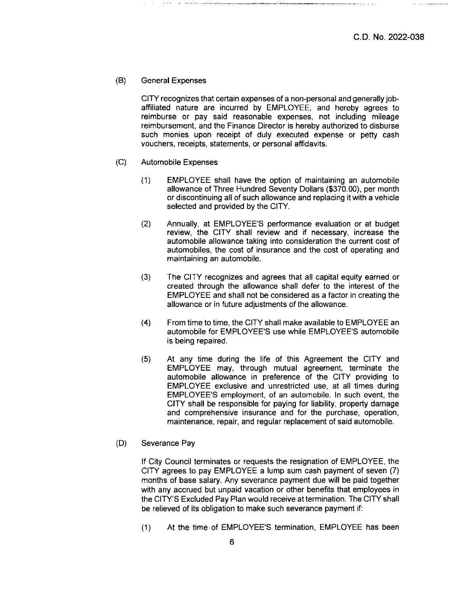(B) General Expenses

CITY recognizes that certain expenses of a non-personal and generally jobaffiliated nature are incurred by EMPLOYEE, and hereby agrees to reimburse or pay said reasonable expenses, not including mileage reimbursement, and the Finance Director is hereby authorized to disburse such monies upon receipt of duly executed expense or petty cash vouchers, receipts, statements, or personal affidavits.

- (C) Automobile Expenses
	- (1) EMPLOYEE shall have the option of maintaining an automobile allowance of Three Hundred Seventy Dollars (\$370.00), per month or discontinuing all of such allowance and replacing it with a vehicle selected and provided by the CITY.
	- (2) Annually, at EMPLOYEE'S performance evaluation or at budget review, the CITY shall review and if necessary, increase the automobile allowance taking into consideration the current cost of automobiles, the cost of insurance and the cost of operating and maintaining an automobile.
	- (3) The CITY recognizes and agrees that all capital equity earned or created through the allowance shall defer to the interest of the EMPLOYEE and shall not be considered as a factor in creating the allowance or in future adjustments of the allowance.
	- (4) From time to time, the CITY shall make available to EMPLOYEE an automobile for EMPLOYEE'S use while EMPLOYEE'S automobile is being repaired.
	- (5) At any time during the life of this Agreement the CITY and EMPLOYEE may, through mutual agreement, terminate the automobile allowance in preference of the CITY providing to EMPLOYEE exclusive and unrestricted use, at all times during EMPLOYEE'S employment, of an automobile. In such event, the CITY shall be responsible for paying for liability, property damage and comprehensive insurance and for the purchase, operation, maintenance, repair, and regular replacement of said automobile.
- (D) Severance Pay

If City Council terminates or requests the resignation of EMPLOYEE, the CITY agrees to pay EMPLOYEE a lump sum cash payment of seven (7) months of base salary. Any severance payment due will be paid together with any accrued but unpaid vacation or other benefits that employees in the CITY'S Excluded Pay Plan would receive at termination. The CITY shall be relieved of its obligation to make such severance payment if:

(1) At the time of EMPLOYEE'S termination, EMPLOYEE has been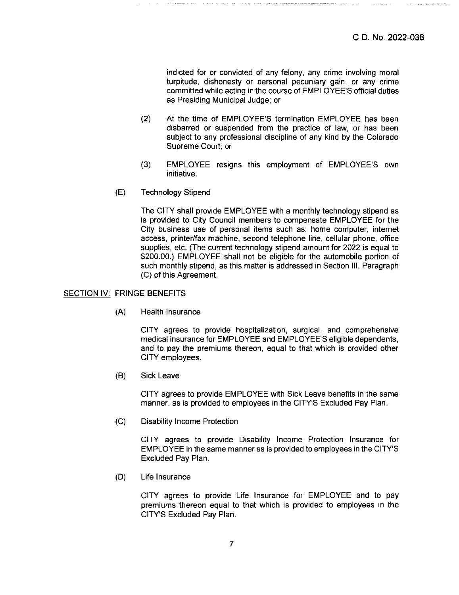indicted for or convicted of any felony, any crime involving moral turpitude, dishonesty or personal pecuniary gain, or any crime committed while acting in the course of EMPLOYEE'S official duties as Presiding Municipal Judge; or

- (2) At the time of EMPLOYEE'S termination EMPLOYEE has been disbarred or suspended from the practice of law, or has been subject to any professional discipline of any kind by the Colorado Supreme Court; or
- (3) EMPLOYEE resigns this employment of EMPLOYEE'S own initiative.
- E) Technology Stipend

The CITY shall provide EMPLOYEE with a monthly technology stipend as is provided to City Council members to compensate EMPLOYEE for the City business use of personal items such as: home computer, internet access, printer/fax machine, second telephone line, cellular phone, office supplies, etc. (The current technology stipend amount for 2022 is equal to \$200.00.) EMPLOYEE shall not be eligible for the automobile portion of such monthly stipend, as this matter is addressed in Section III, Paragraph (C) of this Agreement.

#### SECTION IV: FRINGE BENEFITS

(A) Health Insurance

CITY agrees to provide hospitalization, surgical, and comprehensive medical insurance for EMPLOYEE and EMPLOYEE'S eligible dependents, and to pay the premiums thereon, equal to that which is provided other CITY employees.

(B) Sick Leave

CITY agrees to provide EMPLOYEE with Sick Leave benefits in the same manner, as is provided to employees in the CITY'S Excluded Pay Plan.

(C) Disability Income Protection

CITY agrees to provide Disability Income Protection Insurance for EMPLOYEE in the same manner as is provided to employees in the CITY'S Excluded Pay Plan.

(D) Life Insurance

CITY agrees to provide Life Insurance for EMPLOYEE and to pay premiums thereon equal to that which is provided to employees in the CITY'S Excluded Pay Plan.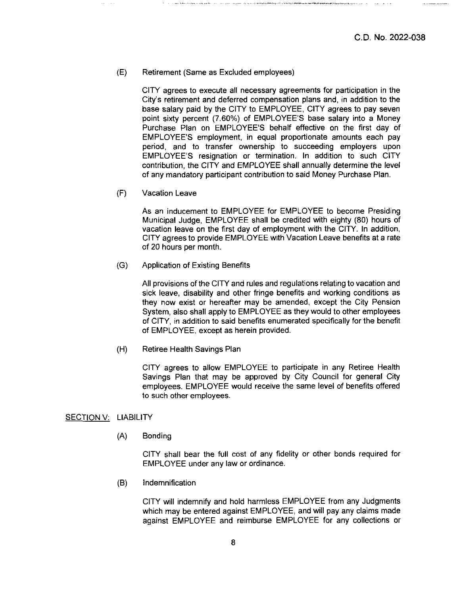(E) Retirement (Same as Excluded employees)

CITY agrees to execute all necessary agreements for participation in the City's retirement and deferred compensation plans and, in addition to the base salary paid by the CITY to EMPLOYEE, CITY agrees to pay seven point sixty percent (7.60%) of EMPLOYEE'S base salary into a Money Purchase Plan on EMPLOYEE'S behalf effective on the first day of EMPLOYEE'S employment, in equal proportionate amounts each pay period, and to transfer ownership to succeeding employers upon EMPLOYEE'S resignation or termination. In addition to such CITY contribution, the CITY and EMPLOYEE shall annually determine the level of any mandatory participant contribution to said Money Purchase Plan.

(F) Vacation Leave

As an inducement to EMPLOYEE for EMPLOYEE to become Presiding Municipal Judge, EMPLOYEE shall be credited with eighty (80) hours of vacation leave on the first day of employment with the CITY. In addition, CITY agrees to provide EMPLOYEE with Vacation Leave benefits at a rate of 20 hours per month.

(G) Application of Existing Benefits

All provisions of the CITY and rules and regulations relating to vacation and sick leave, disability and other fringe benefits and working conditions as they now exist or hereafter may be amended, except the City Pension System, also shall apply to EMPLOYEE as they would to other employees of CITY, in addition to said benefits enumerated specifically for the benefit of EMPLOYEE, except as herein provided.

(H) Retiree Health Savings Plan

CITY agrees to allow EMPLOYEE to participate in any Retiree Health Savings Plan that may be approved by City Council for general City employees. EMPLOYEE would receive the same level of benefits offered to such other employees.

#### **SECTION V: LIABILITY**

à.

(A) Bonding

CITY shall bear the full cost of any fidelity or other bonds required for EMPLOYEE under any law or ordinance.

(B) Indemnification

CITY will indemnify and hold harmless EMPLOYEE from any Judgments which may be entered against EMPLOYEE, and will pay any claims made against EMPLOYEE and reimburse EMPLOYEE for any collections or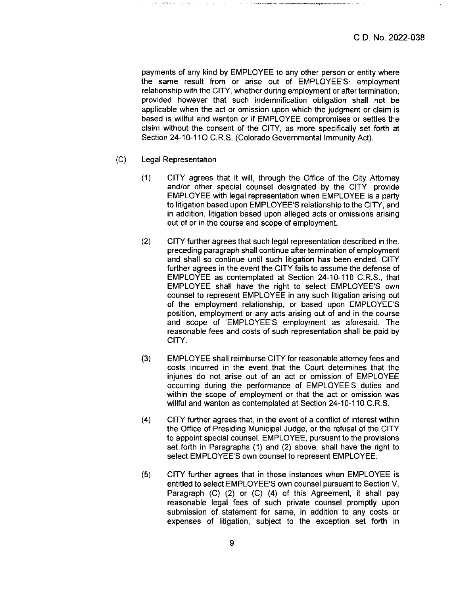payments of any kind by EMPLOYEE to any other person or entity where the same result from or arise out of EMPLOYEE'S employment relationship with the CITY, whether during employment or after termination, provided however that such indemnification obligation shall not be applicable when the act or omission upon which the judgment or claim is based is willful and wanton or if EMPLOYEE compromises or settles the claim without the consent of the CITY, as more specifically set forth at Section 24-10-110 C.R.S. (Colorado Governmental Immunity Act).

joa

- (C) Legal Representation
	- (1) CITY agrees that it will, through the Office of the City Attorney and/or other special counsel designated by the CITY, provide EMPLOYEE with legal representation when EMPLOYEE is a party to litigation based upon EMPLOYEE'S relationship to the CITY, and in addition, litigation based upon alleged acts or omissions arising out of or in the course and scope of employment.
	- (2) CITY further agrees that such legal representation described in the. preceding paragraph shall continue after termination of employment and shall so continue until such litigation has been ended. CITY further agrees in the event the CITY fails to assume the defense of EMPLOYEE as contemplated at Section 24-10-110 C.R.S., that EMPLOYEE shall have the right to select EMPLOYEE'S own counsel to represent EMPLOYEE in any such litigation arising out of the employment relationship, or based upon EMPLOYEE'S position, employment or any acts arising out of and in the course and scope of 'EMPLOYEE'S employment as aforesaid. The reasonable fees and costs of such representation shall be paid by CITY.
	- (3) EMPLOYEE shall reimburse CITY for reasonable attorney fees and costs incurred in the event that the Court determines that the injuries do not arise out of an act or omission of EMPLOYEE occurring during the performance of EMPLOYEE'S duties and within the scope of employment or that the act or omission was willful and wanton as contemplated at Section 24-10-110 C.R.S.
	- (4) CITY further agrees that, in the event of a conflict of interest within the Office of Presiding Municipal Judge, or the refusal of the CITY to appoint special counsel, EMPLOYEE, pursuant to the provisions set forth in Paragraphs (1) and (2) above, shall have the right to select EMPLOYEE'S own counsel to represent EMPLOYEE.
	- (5) CITY further agrees that in those instances when EMPLOYEE is entitled to select EMPLOYEE'S own counsel pursuant to Section V, Paragraph (C) (2) or (C) (4) of this Agreement, it shall pay reasonable legal fees of such private counsel promptly upon submission of statement for same, in addition to any costs or expenses of litigation, subject to the exception set forth in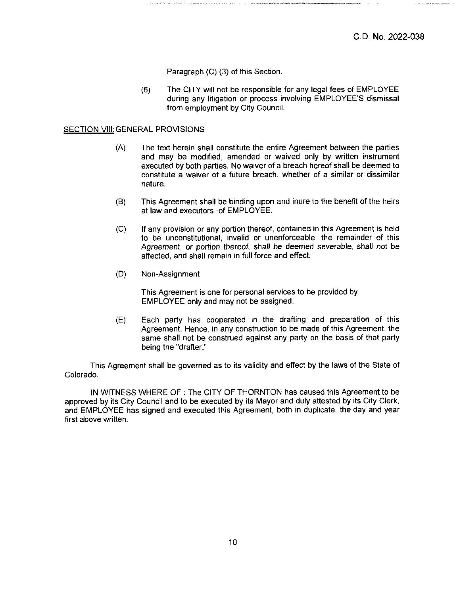Paragraph (C) (3) of this Section.

(6) The CITY will not be responsible for any legal fees of EMPLOYEE during any litigation or process involving EMPLOYEE'S dismissal from employment by City Council.

#### SECTION VIII:GENERAL PROVISIONS

- (A) The text herein shall constitute the entire Agreement between the parties and may be modified, amended or waived only by written instrument executed by both parties. No waiver of a breach hereof shall be deemed to constitute a waiver of a future breach, whether of a similar or dissimilar nature.
- (B) This Agreement shall be binding upon and inure to the benefit of the heirs at law and executors of EMPLOYEE.
- (C) If any provision or any portion thereof, contained in this Agreement is held to be unconstitutional, invalid or unenforceable, the remainder of this Agreement, or portion thereof, shall be deemed severable, shall not be affected, and shall remain in full force and effect.
- (D) Non-Assignment

This Agreement is one for personal services to be provided by EMPLOYEE only and may not be assigned.

(E) Each party has cooperated in the drafting and preparation of this Agreement. Hence, in any construction to be made of this Agreement, the same shall not be construed against any party on the basis of that party being the "drafter."

This Agreement shall be governed as to its validity and effect by the laws of the State of Colorado.

IN WITNESS WHERE OF : The CITY OF THORNTON has caused this Agreement to be approved by its City Council and to be executed by its Mayor and duly attested by its City Clerk, and EMPLOYEE has signed and executed this Agreement, both in duplicate, the day and year first above written.